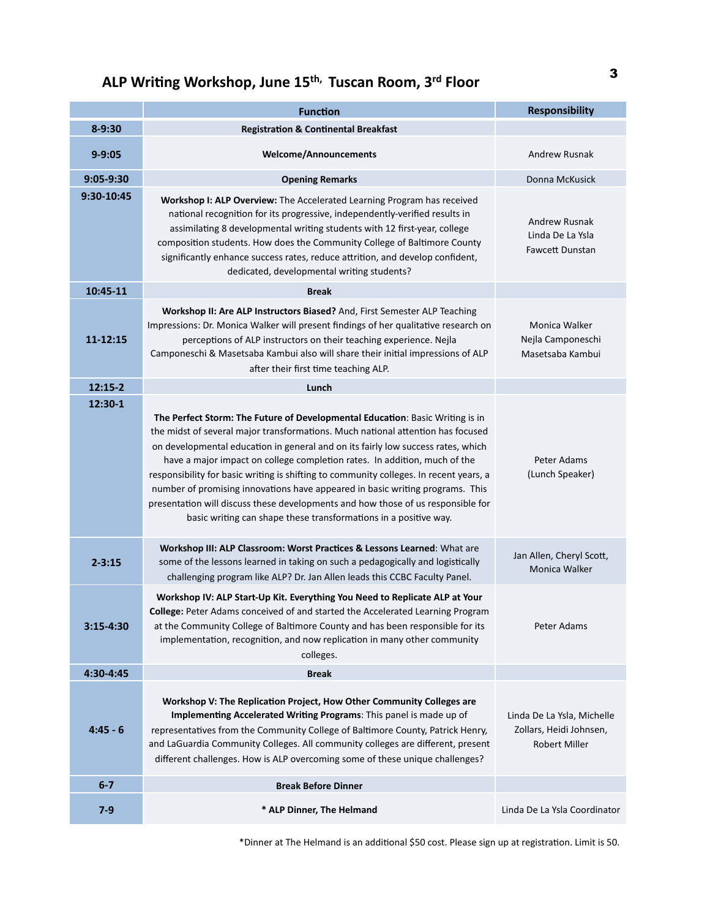## **ALP Writing Workshop, June 15<sup>th,</sup> Tuscan Room, 3<sup>rd</sup> Floor 3**

|             | <b>Function</b>                                                                                                                                                                                                                                                                                                                                                                                                                                                                                                                                                                                                                                                      | <b>Responsibility</b>                                                         |
|-------------|----------------------------------------------------------------------------------------------------------------------------------------------------------------------------------------------------------------------------------------------------------------------------------------------------------------------------------------------------------------------------------------------------------------------------------------------------------------------------------------------------------------------------------------------------------------------------------------------------------------------------------------------------------------------|-------------------------------------------------------------------------------|
| $8 - 9:30$  | <b>Registration &amp; Continental Breakfast</b>                                                                                                                                                                                                                                                                                                                                                                                                                                                                                                                                                                                                                      |                                                                               |
| $9 - 9:05$  | <b>Welcome/Announcements</b>                                                                                                                                                                                                                                                                                                                                                                                                                                                                                                                                                                                                                                         | <b>Andrew Rusnak</b>                                                          |
| $9:05-9:30$ | <b>Opening Remarks</b>                                                                                                                                                                                                                                                                                                                                                                                                                                                                                                                                                                                                                                               | Donna McKusick                                                                |
| 9:30-10:45  | Workshop I: ALP Overview: The Accelerated Learning Program has received<br>national recognition for its progressive, independently-verified results in<br>assimilating 8 developmental writing students with 12 first-year, college<br>composition students. How does the Community College of Baltimore County<br>significantly enhance success rates, reduce attrition, and develop confident,<br>dedicated, developmental writing students?                                                                                                                                                                                                                       | Andrew Rusnak<br>Linda De La Ysla<br>Fawcett Dunstan                          |
| 10:45-11    | <b>Break</b>                                                                                                                                                                                                                                                                                                                                                                                                                                                                                                                                                                                                                                                         |                                                                               |
| 11-12:15    | Workshop II: Are ALP Instructors Biased? And, First Semester ALP Teaching<br>Impressions: Dr. Monica Walker will present findings of her qualitative research on<br>perceptions of ALP instructors on their teaching experience. Nejla<br>Camponeschi & Masetsaba Kambui also will share their initial impressions of ALP<br>after their first time teaching ALP.                                                                                                                                                                                                                                                                                                    | Monica Walker<br>Nejla Camponeschi<br>Masetsaba Kambui                        |
| $12:15-2$   | Lunch                                                                                                                                                                                                                                                                                                                                                                                                                                                                                                                                                                                                                                                                |                                                                               |
| 12:30-1     | The Perfect Storm: The Future of Developmental Education: Basic Writing is in<br>the midst of several major transformations. Much national attention has focused<br>on developmental education in general and on its fairly low success rates, which<br>have a major impact on college completion rates. In addition, much of the<br>responsibility for basic writing is shifting to community colleges. In recent years, a<br>number of promising innovations have appeared in basic writing programs. This<br>presentation will discuss these developments and how those of us responsible for<br>basic writing can shape these transformations in a positive way. | Peter Adams<br>(Lunch Speaker)                                                |
| $2 - 3:15$  | Workshop III: ALP Classroom: Worst Practices & Lessons Learned: What are<br>some of the lessons learned in taking on such a pedagogically and logistically<br>challenging program like ALP? Dr. Jan Allen leads this CCBC Faculty Panel.                                                                                                                                                                                                                                                                                                                                                                                                                             | Jan Allen, Cheryl Scott,<br><b>Monica Walker</b>                              |
| 3:15-4:30   | Workshop IV: ALP Start-Up Kit. Everything You Need to Replicate ALP at Your<br>College: Peter Adams conceived of and started the Accelerated Learning Program<br>at the Community College of Baltimore County and has been responsible for its<br>implementation, recognition, and now replication in many other community<br>colleges.                                                                                                                                                                                                                                                                                                                              | Peter Adams                                                                   |
| 4:30-4:45   | <b>Break</b>                                                                                                                                                                                                                                                                                                                                                                                                                                                                                                                                                                                                                                                         |                                                                               |
| $4:45 - 6$  | Workshop V: The Replication Project, How Other Community Colleges are<br>Implementing Accelerated Writing Programs: This panel is made up of<br>representatives from the Community College of Baltimore County, Patrick Henry,<br>and LaGuardia Community Colleges. All community colleges are different, present<br>different challenges. How is ALP overcoming some of these unique challenges?                                                                                                                                                                                                                                                                    | Linda De La Ysla, Michelle<br>Zollars, Heidi Johnsen,<br><b>Robert Miller</b> |
| $6 - 7$     | <b>Break Before Dinner</b>                                                                                                                                                                                                                                                                                                                                                                                                                                                                                                                                                                                                                                           |                                                                               |
| $7 - 9$     | * ALP Dinner, The Helmand                                                                                                                                                                                                                                                                                                                                                                                                                                                                                                                                                                                                                                            | Linda De La Ysla Coordinator                                                  |

\*Dinner at The Helmand is an additional \$50 cost. Please sign up at registration. Limit is 50.